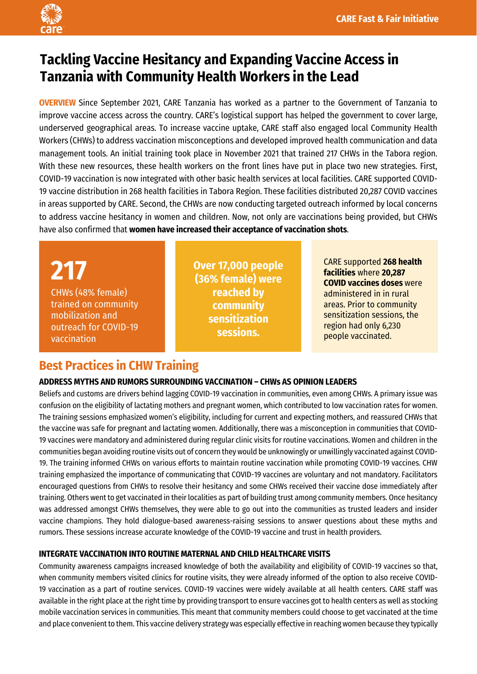

# **Tackling Vaccine Hesitancy and Expanding Vaccine Access in Tanzania with Community Health Workers in the Lead**

**OVERVIEW** Since September 2021, CARE Tanzania has worked as a partner to the Government of Tanzania to improve vaccine access across the country. CARE's logistical support has helped the government to cover large, underserved geographical areas. To increase vaccine uptake, CARE staff also engaged local Community Health Workers (CHWs) to address vaccination misconceptions and developed improved health communication and data management tools. An initial training took place in November 2021 that trained 217 CHWs in the Tabora region. With these new resources, these health workers on the front lines have put in place two new strategies. First, COVID-19 vaccination is now integrated with other basic health services at local facilities. CARE supported COVID-19 vaccine distribution in 268 health facilities in Tabora Region. These facilities distributed 20,287 COVID vaccines in areas supported by CARE. Second, the CHWs are now conducting targeted outreach informed by local concerns to address vaccine hesitancy in women and children. Now, not only are vaccinations being provided, but CHWs have also confirmed that **women have increased their acceptance of vaccination shots**.

**217**  CHWs (48% female) trained on community mobilization and outreach for COVID-19 vaccination

**Over 17,000 people (36% female) were reached by community sensitization sessions.**

CARE supported **268 health facilities** where **20,287 COVID vaccines doses** were administered in in rural areas. Prior to community sensitization sessions, the region had only 6,230 people vaccinated.

# **Best Practices in CHW Training**

## **ADDRESS MYTHS AND RUMORS SURROUNDING VACCINATION – CHWs AS OPINION LEADERS**

Beliefs and customs are drivers behind lagging COVID-19 vaccination in communities, even among CHWs. A primary issue was confusion on the eligibility of lactating mothers and pregnant women, which contributed to low vaccination rates for women. The training sessions emphasized women's eligibility, including for current and expecting mothers, and reassured CHWs that the vaccine was safe for pregnant and lactating women. Additionally, there was a misconception in communities that COVID-19 vaccines were mandatory and administered during regular clinic visits for routine vaccinations. Women and children in the communities began avoiding routine visits out of concern they would be unknowingly or unwillingly vaccinated against COVID-19. The training informed CHWs on various efforts to maintain routine vaccination while promoting COVID-19 vaccines. CHW training emphasized the importance of communicating that COVID-19 vaccines are voluntary and not mandatory. Facilitators encouraged questions from CHWs to resolve their hesitancy and some CHWs received their vaccine dose immediately after training. Others went to get vaccinated in their localities as part of building trust among community members. Once hesitancy was addressed amongst CHWs themselves, they were able to go out into the communities as trusted leaders and insider vaccine champions. They hold dialogue-based awareness-raising sessions to answer questions about these myths and rumors. These sessions increase accurate knowledge of the COVID-19 vaccine and trust in health providers.

## **INTEGRATE VACCINATION INTO ROUTINE MATERNAL AND CHILD HEALTHCARE VISITS**

Community awareness campaigns increased knowledge of both the availability and eligibility of COVID-19 vaccines so that, when community members visited clinics for routine visits, they were already informed of the option to also receive COVID-19 vaccination as a part of routine services. COVID-19 vaccines were widely available at all health centers. CARE staff was available in the right place at the right time by providing transport to ensure vaccines got to health centers as well as stocking mobile vaccination services in communities. This meant that community members could choose to get vaccinated at the time and place convenient to them. This vaccine delivery strategy was especially effective in reaching women because they typically